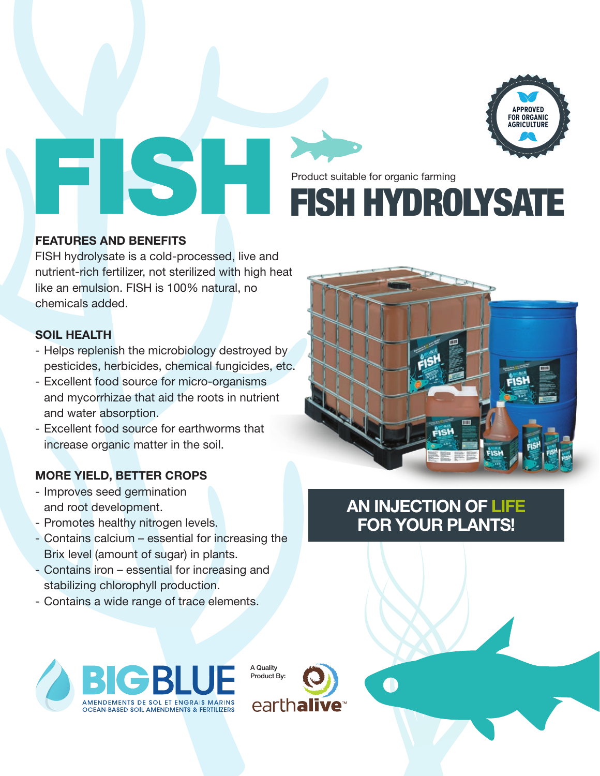

FISH HYDROLYSATE Product suitable for organic farming

#### **FEATURES AND BENEFITS**

FISH hydrolysate is a cold-processed, live and nutrient-rich fertilizer, not sterilized with high heat like an emulsion. FISH is 100% natural, no chemicals added.

#### **SOIL HEALTH**

- Helps replenish the microbiology destroyed by pesticides, herbicides, chemical fungicides, etc.
- Excellent food source for micro-organisms and mycorrhizae that aid the roots in nutrient and water absorption.
- Excellent food source for earthworms that increase organic matter in the soil.

### **MORE YIELD, BETTER CROPS**

- Improves seed germination and root development.
- Promotes healthy nitrogen levels.
- Contains calcium essential for increasing the Brix level (amount of sugar) in plants.
- Contains iron essential for increasing and stabilizing chlorophyll production.
- Contains a wide range of trace elements.







## **AN INJECTION OF LIFE FOR YOUR PLANTS!**